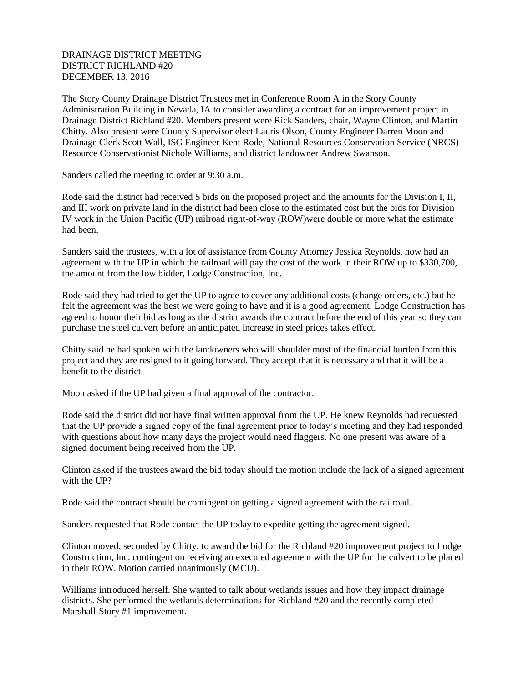## DRAINAGE DISTRICT MEETING DISTRICT RICHLAND #20 DECEMBER 13, 2016

The Story County Drainage District Trustees met in Conference Room A in the Story County Administration Building in Nevada, IA to consider awarding a contract for an improvement project in Drainage District Richland #20. Members present were Rick Sanders, chair, Wayne Clinton, and Martin Chitty. Also present were County Supervisor elect Lauris Olson, County Engineer Darren Moon and Drainage Clerk Scott Wall, ISG Engineer Kent Rode, National Resources Conservation Service (NRCS) Resource Conservationist Nichole Williams, and district landowner Andrew Swanson.

Sanders called the meeting to order at 9:30 a.m.

Rode said the district had received 5 bids on the proposed project and the amounts for the Division I, II, and III work on private land in the district had been close to the estimated cost but the bids for Division IV work in the Union Pacific (UP) railroad right-of-way (ROW)were double or more what the estimate had been.

Sanders said the trustees, with a lot of assistance from County Attorney Jessica Reynolds, now had an agreement with the UP in which the railroad will pay the cost of the work in their ROW up to \$330,700, the amount from the low bidder, Lodge Construction, Inc.

Rode said they had tried to get the UP to agree to cover any additional costs (change orders, etc.) but he felt the agreement was the best we were going to have and it is a good agreement. Lodge Construction has agreed to honor their bid as long as the district awards the contract before the end of this year so they can purchase the steel culvert before an anticipated increase in steel prices takes effect.

Chitty said he had spoken with the landowners who will shoulder most of the financial burden from this project and they are resigned to it going forward. They accept that it is necessary and that it will be a benefit to the district.

Moon asked if the UP had given a final approval of the contractor.

Rode said the district did not have final written approval from the UP. He knew Reynolds had requested that the UP provide a signed copy of the final agreement prior to today's meeting and they had responded with questions about how many days the project would need flaggers. No one present was aware of a signed document being received from the UP.

Clinton asked if the trustees award the bid today should the motion include the lack of a signed agreement with the UP?

Rode said the contract should be contingent on getting a signed agreement with the railroad.

Sanders requested that Rode contact the UP today to expedite getting the agreement signed.

Clinton moved, seconded by Chitty, to award the bid for the Richland #20 improvement project to Lodge Construction, Inc. contingent on receiving an executed agreement with the UP for the culvert to be placed in their ROW. Motion carried unanimously (MCU).

Williams introduced herself. She wanted to talk about wetlands issues and how they impact drainage districts. She performed the wetlands determinations for Richland #20 and the recently completed Marshall-Story #1 improvement.